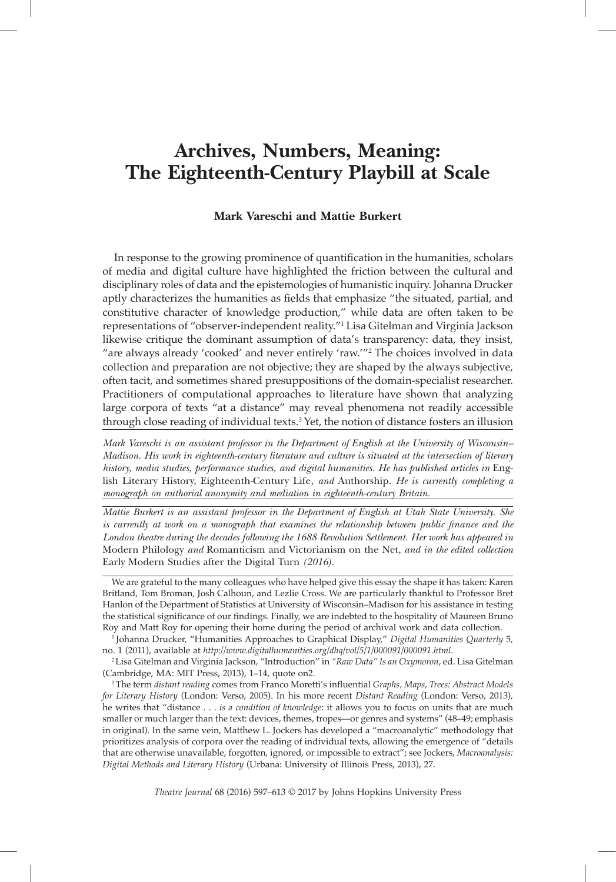# **Archives, Numbers, Meaning: The Eighteenth-Century Playbill at Scale**

#### **Mark Vareschi and Mattie Burkert**

In response to the growing prominence of quantifcation in the humanities, scholars of media and digital culture have highlighted the friction between the cultural and disciplinary roles of data and the epistemologies of humanistic inquiry. Johanna Drucker aptly characterizes the humanities as felds that emphasize "the situated, partial, and constitutive character of knowledge production," while data are often taken to be representations of "observer-independent reality."<sup>1</sup> Lisa Gitelman and Virginia Jackson likewise critique the dominant assumption of data's transparency: data, they insist, "are always already 'cooked' and never entirely 'raw.'"<sup>2</sup> The choices involved in data collection and preparation are not objective; they are shaped by the always subjective, often tacit, and sometimes shared presuppositions of the domain-specialist researcher. Practitioners of computational approaches to literature have shown that analyzing large corpora of texts "at a distance" may reveal phenomena not readily accessible through close reading of individual texts.<sup>3</sup> Yet, the notion of distance fosters an illusion

*Mark Vareschi is an assistant professor in the Department of English at the University of Wisconsin– Madison. His work in eighteenth-century literature and culture is situated at the intersection of literary history, media studies, performance studies, and digital humanities. He has published articles in* English Literary History, Eighteenth-Century Life*, and* Authorship*. He is currently completing a monograph on authorial anonymity and mediation in eighteenth-century Britain.*

*Mattie Burkert is an assistant professor in the Department of English at Utah State University. She is currently at work on a monograph that examines the relationship between public finance and the London theatre during the decades following the 1688 Revolution Settlement. Her work has appeared in*  Modern Philology *and* Romanticism and Victorianism on the Net, *and in the edited collection*  Early Modern Studies after the Digital Turn *(2016).*

We are grateful to the many colleagues who have helped give this essay the shape it has taken: Karen Britland, Tom Broman, Josh Calhoun, and Lezlie Cross. We are particularly thankful to Professor Bret Hanlon of the Department of Statistics at University of Wisconsin–Madison for his assistance in testing the statistical signifcance of our fndings. Finally, we are indebted to the hospitality of Maureen Bruno Roy and Matt Roy for opening their home during the period of archival work and data collection.

<sup>1</sup> Johanna Drucker, "Humanities Approaches to Graphical Display," *Digital Humanities Quarterly* 5, no. 1 (2011), available at *http://www.digitalhumanities.org/dhq/vol/5/1/000091/000091.html*.

<sup>2</sup>Lisa Gitelman and Virginia Jackson, "Introduction" in *"Raw Data" Is an Oxymoron*, ed. Lisa Gitelman (Cambridge, MA: MIT Press, 2013), 1–14, quote on2.

3The term *distant reading* comes from Franco Moretti's infuential *Graphs, Maps, Trees: Abstract Models for Literary History* (London: Verso, 2005). In his more recent *Distant Reading* (London: Verso, 2013), he writes that "distance . . . *is a condition of knowledge*: it allows you to focus on units that are much smaller or much larger than the text: devices, themes, tropes—or genres and systems" (48–49; emphasis in original). In the same vein, Matthew L. Jockers has developed a "macroanalytic" methodology that prioritizes analysis of corpora over the reading of individual texts, allowing the emergence of "details that are otherwise unavailable, forgotten, ignored, or impossible to extract"; see Jockers, *Macroanalysis: Digital Methods and Literary History* (Urbana: University of Illinois Press, 2013), 27.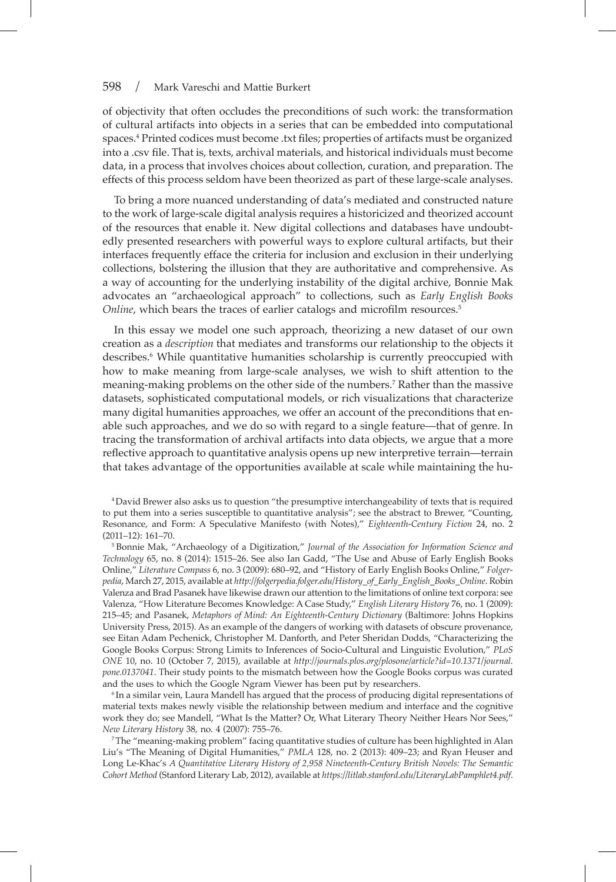of objectivity that often occludes the preconditions of such work: the transformation of cultural artifacts into objects in a series that can be embedded into computational spaces.4 Printed codices must become .txt fles; properties of artifacts must be organized into a .csv fle. That is, texts, archival materials, and historical individuals must become data, in a process that involves choices about collection, curation, and preparation. The effects of this process seldom have been theorized as part of these large-scale analyses.

To bring a more nuanced understanding of data's mediated and constructed nature to the work of large-scale digital analysis requires a historicized and theorized account of the resources that enable it. New digital collections and databases have undoubtedly presented researchers with powerful ways to explore cultural artifacts, but their interfaces frequently efface the criteria for inclusion and exclusion in their underlying collections, bolstering the illusion that they are authoritative and comprehensive. As a way of accounting for the underlying instability of the digital archive, Bonnie Mak advocates an "archaeological approach" to collections, such as *Early English Books Online*, which bears the traces of earlier catalogs and microfilm resources.<sup>5</sup>

In this essay we model one such approach, theorizing a new dataset of our own creation as a *description* that mediates and transforms our relationship to the objects it describes.<sup>6</sup> While quantitative humanities scholarship is currently preoccupied with how to make meaning from large-scale analyses, we wish to shift attention to the meaning-making problems on the other side of the numbers.<sup>7</sup> Rather than the massive datasets, sophisticated computational models, or rich visualizations that characterize many digital humanities approaches, we offer an account of the preconditions that enable such approaches, and we do so with regard to a single feature—that of genre. In tracing the transformation of archival artifacts into data objects, we argue that a more refective approach to quantitative analysis opens up new interpretive terrain—terrain that takes advantage of the opportunities available at scale while maintaining the hu-

4David Brewer also asks us to question "the presumptive interchangeability of texts that is required to put them into a series susceptible to quantitative analysis"; see the abstract to Brewer, "Counting, Resonance, and Form: A Speculative Manifesto (with Notes)," *Eighteenth-Century Fiction* 24, no. 2 (2011–12): 161–70.

<sup>5</sup> Bonnie Mak, "Archaeology of a Digitization," *Journal of the Association for Information Science and Technology* 65, no. 8 (2014): 1515–26. See also Ian Gadd, "The Use and Abuse of Early English Books Online," *Literature Compass* 6, no. 3 (2009): 680–92, and "History of Early English Books Online," *Folgerpedia*, March 27, 2015, available at *http://folgerpedia.folger.edu/History\_of\_Early\_English\_Books\_Online*. Robin Valenza and Brad Pasanek have likewise drawn our attention to the limitations of online text corpora: see Valenza, "How Literature Becomes Knowledge: A Case Study," *English Literary History* 76, no. 1 (2009): 215–45; and Pasanek, *Metaphors of Mind: An Eighteenth-Century Dictionary* (Baltimore: Johns Hopkins University Press, 2015). As an example of the dangers of working with datasets of obscure provenance, see Eitan Adam Pechenick, Christopher M. Danforth, and Peter Sheridan Dodds, "Characterizing the Google Books Corpus: Strong Limits to Inferences of Socio-Cultural and Linguistic Evolution," *PLoS ONE* 10, no. 10 (October 7, 2015), available at *http://journals.plos.org/plosone/article?id=10.1371/journal. pone.0137041*. Their study points to the mismatch between how the Google Books corpus was curated and the uses to which the Google Ngram Viewer has been put by researchers.

<sup>6</sup> In a similar vein, Laura Mandell has argued that the process of producing digital representations of material texts makes newly visible the relationship between medium and interface and the cognitive work they do; see Mandell, "What Is the Matter? Or, What Literary Theory Neither Hears Nor Sees," *New Literary History* 38, no. 4 (2007): 755–76.

<sup>7</sup>The "meaning-making problem" facing quantitative studies of culture has been highlighted in Alan Liu's "The Meaning of Digital Humanities," *PMLA* 128, no. 2 (2013): 409–23; and Ryan Heuser and Long Le-Khac's *A Quantitative Literary History of 2,958 Nineteenth-Century British Novels: The Semantic Cohort Method* (Stanford Literary Lab, 2012), available at *https://litlab.stanford.edu/LiteraryLabPamphlet4.pdf*.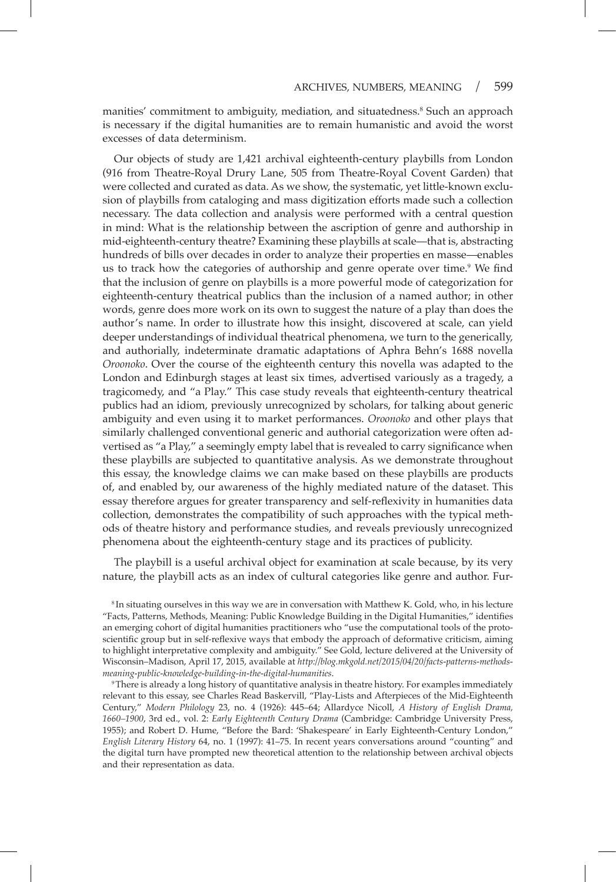manities' commitment to ambiguity, mediation, and situatedness.<sup>8</sup> Such an approach is necessary if the digital humanities are to remain humanistic and avoid the worst excesses of data determinism.

Our objects of study are 1,421 archival eighteenth-century playbills from London (916 from Theatre-Royal Drury Lane, 505 from Theatre-Royal Covent Garden) that were collected and curated as data. As we show, the systematic, yet little-known exclusion of playbills from cataloging and mass digitization efforts made such a collection necessary. The data collection and analysis were performed with a central question in mind: What is the relationship between the ascription of genre and authorship in mid-eighteenth-century theatre? Examining these playbills at scale—that is, abstracting hundreds of bills over decades in order to analyze their properties en masse—enables us to track how the categories of authorship and genre operate over time.<sup>9</sup> We find that the inclusion of genre on playbills is a more powerful mode of categorization for eighteenth-century theatrical publics than the inclusion of a named author; in other words, genre does more work on its own to suggest the nature of a play than does the author's name. In order to illustrate how this insight, discovered at scale, can yield deeper understandings of individual theatrical phenomena, we turn to the generically, and authorially, indeterminate dramatic adaptations of Aphra Behn's 1688 novella *Oroonoko*. Over the course of the eighteenth century this novella was adapted to the London and Edinburgh stages at least six times, advertised variously as a tragedy, a tragicomedy, and "a Play." This case study reveals that eighteenth-century theatrical publics had an idiom, previously unrecognized by scholars, for talking about generic ambiguity and even using it to market performances. *Oroonoko* and other plays that similarly challenged conventional generic and authorial categorization were often advertised as "a Play," a seemingly empty label that is revealed to carry significance when these playbills are subjected to quantitative analysis. As we demonstrate throughout this essay, the knowledge claims we can make based on these playbills are products of, and enabled by, our awareness of the highly mediated nature of the dataset. This essay therefore argues for greater transparency and self-refexivity in humanities data collection, demonstrates the compatibility of such approaches with the typical methods of theatre history and performance studies, and reveals previously unrecognized phenomena about the eighteenth-century stage and its practices of publicity.

The playbill is a useful archival object for examination at scale because, by its very nature, the playbill acts as an index of cultural categories like genre and author. Fur-

<sup>8</sup> In situating ourselves in this way we are in conversation with Matthew K. Gold, who, in his lecture "Facts, Patterns, Methods, Meaning: Public Knowledge Building in the Digital Humanities," identifes an emerging cohort of digital humanities practitioners who "use the computational tools of the protoscientifc group but in self-refexive ways that embody the approach of deformative criticism, aiming to highlight interpretative complexity and ambiguity." See Gold, lecture delivered at the University of Wisconsin–Madison, April 17, 2015, available at *http://blog.mkgold.net/2015/04/20/facts-patterns-methodsmeaning-public-knowledge-building-in-the-digital-humanities*.

<sup>9</sup>There is already a long history of quantitative analysis in theatre history. For examples immediately relevant to this essay, see Charles Read Baskervill, "Play-Lists and Afterpieces of the Mid-Eighteenth Century," *Modern Philology* 23, no. 4 (1926): 445–64; Allardyce Nicoll, *A History of English Drama, 1660–1900*, 3rd ed., vol. 2: *Early Eighteenth Century Drama* (Cambridge: Cambridge University Press, 1955); and Robert D. Hume, "Before the Bard: 'Shakespeare' in Early Eighteenth-Century London," *English Literary History* 64, no. 1 (1997): 41–75. In recent years conversations around "counting" and the digital turn have prompted new theoretical attention to the relationship between archival objects and their representation as data.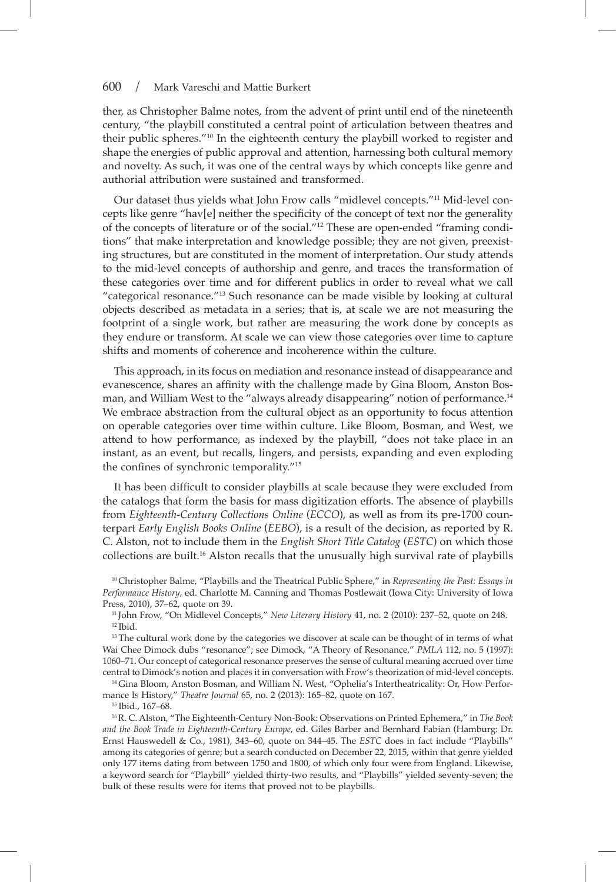ther, as Christopher Balme notes, from the advent of print until end of the nineteenth century, "the playbill constituted a central point of articulation between theatres and their public spheres."<sup>10</sup> In the eighteenth century the playbill worked to register and shape the energies of public approval and attention, harnessing both cultural memory and novelty. As such, it was one of the central ways by which concepts like genre and authorial attribution were sustained and transformed.

Our dataset thus yields what John Frow calls "midlevel concepts."11 Mid-level concepts like genre "hav[e] neither the specifcity of the concept of text nor the generality of the concepts of literature or of the social."12 These are open-ended "framing conditions" that make interpretation and knowledge possible; they are not given, preexisting structures, but are constituted in the moment of interpretation. Our study attends to the mid-level concepts of authorship and genre, and traces the transformation of these categories over time and for different publics in order to reveal what we call "categorical resonance."<sup>13</sup> Such resonance can be made visible by looking at cultural objects described as metadata in a series; that is, at scale we are not measuring the footprint of a single work, but rather are measuring the work done by concepts as they endure or transform. At scale we can view those categories over time to capture shifts and moments of coherence and incoherence within the culture.

This approach, in its focus on mediation and resonance instead of disappearance and evanescence, shares an affnity with the challenge made by Gina Bloom, Anston Bosman, and William West to the "always already disappearing" notion of performance.<sup>14</sup> We embrace abstraction from the cultural object as an opportunity to focus attention on operable categories over time within culture. Like Bloom, Bosman, and West, we attend to how performance, as indexed by the playbill, "does not take place in an instant, as an event, but recalls, lingers, and persists, expanding and even exploding the confines of synchronic temporality."<sup>15</sup>

It has been diffcult to consider playbills at scale because they were excluded from the catalogs that form the basis for mass digitization efforts. The absence of playbills from *Eighteenth-Century Collections Online* (*ECCO*), as well as from its pre-1700 counterpart *Early English Books Online* (*EEBO*), is a result of the decision, as reported by R. C. Alston, not to include them in the *English Short Title Catalog* (*ESTC*) on which those collections are built.<sup>16</sup> Alston recalls that the unusually high survival rate of playbills

<sup>10</sup> Christopher Balme, "Playbills and the Theatrical Public Sphere," in *Representing the Past: Essays in Performance History*, ed. Charlotte M. Canning and Thomas Postlewait (Iowa City: University of Iowa Press, 2010), 37–62, quote on 39.

<sup>11</sup> John Frow, "On Midlevel Concepts," *New Literary History* 41, no. 2 (2010): 237–52, quote on 248.  $12$  Ibid.

<sup>13</sup> The cultural work done by the categories we discover at scale can be thought of in terms of what Wai Chee Dimock dubs "resonance"; see Dimock, "A Theory of Resonance," *PMLA* 112, no. 5 (1997): 1060–71. Our concept of categorical resonance preserves the sense of cultural meaning accrued over time central to Dimock's notion and places it in conversation with Frow's theorization of mid-level concepts.

<sup>14</sup> Gina Bloom, Anston Bosman, and William N. West, "Ophelia's Intertheatricality: Or, How Performance Is History," *Theatre Journal* 65, no. 2 (2013): 165–82, quote on 167.

<sup>15</sup> Ibid., 167–68.

<sup>16</sup>R. C. Alston, "The Eighteenth-Century Non-Book: Observations on Printed Ephemera," in *The Book and the Book Trade in Eighteenth-Century Europe*, ed. Giles Barber and Bernhard Fabian (Hamburg: Dr. Ernst Hauswedell & Co., 1981), 343–60, quote on 344–45. The *ESTC* does in fact include "Playbills" among its categories of genre; but a search conducted on December 22, 2015, within that genre yielded only 177 items dating from between 1750 and 1800, of which only four were from England. Likewise, a keyword search for "Playbill" yielded thirty-two results, and "Playbills" yielded seventy-seven; the bulk of these results were for items that proved not to be playbills.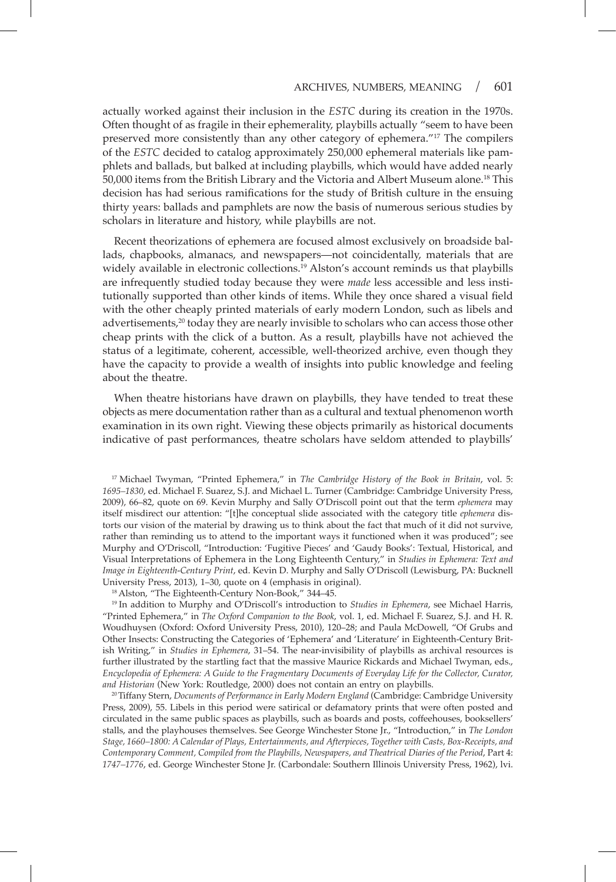actually worked against their inclusion in the *ESTC* during its creation in the 1970s. Often thought of as fragile in their ephemerality, playbills actually "seem to have been preserved more consistently than any other category of ephemera."<sup>17</sup> The compilers of the *ESTC* decided to catalog approximately 250,000 ephemeral materials like pamphlets and ballads, but balked at including playbills, which would have added nearly 50,000 items from the British Library and the Victoria and Albert Museum alone.18 This decision has had serious ramifcations for the study of British culture in the ensuing thirty years: ballads and pamphlets are now the basis of numerous serious studies by scholars in literature and history, while playbills are not.

Recent theorizations of ephemera are focused almost exclusively on broadside ballads, chapbooks, almanacs, and newspapers—not coincidentally, materials that are widely available in electronic collections.<sup>19</sup> Alston's account reminds us that playbills are infrequently studied today because they were *made* less accessible and less institutionally supported than other kinds of items. While they once shared a visual feld with the other cheaply printed materials of early modern London, such as libels and advertisements,<sup>20</sup> today they are nearly invisible to scholars who can access those other cheap prints with the click of a button. As a result, playbills have not achieved the status of a legitimate, coherent, accessible, well-theorized archive, even though they have the capacity to provide a wealth of insights into public knowledge and feeling about the theatre.

When theatre historians have drawn on playbills, they have tended to treat these objects as mere documentation rather than as a cultural and textual phenomenon worth examination in its own right. Viewing these objects primarily as historical documents indicative of past performances, theatre scholars have seldom attended to playbills'

<sup>17</sup> Michael Twyman, "Printed Ephemera," in *The Cambridge History of the Book in Britain*, vol. 5: *1695–1830*, ed. Michael F. Suarez, S.J. and Michael L. Turner (Cambridge: Cambridge University Press, 2009), 66–82, quote on 69. Kevin Murphy and Sally O'Driscoll point out that the term *ephemera* may itself misdirect our attention: "[t]he conceptual slide associated with the category title *ephemera* distorts our vision of the material by drawing us to think about the fact that much of it did not survive, rather than reminding us to attend to the important ways it functioned when it was produced"; see Murphy and O'Driscoll, "Introduction: 'Fugitive Pieces' and 'Gaudy Books': Textual, Historical, and Visual Interpretations of Ephemera in the Long Eighteenth Century," in *Studies in Ephemera: Text and Image in Eighteenth-Century Print*, ed. Kevin D. Murphy and Sally O'Driscoll (Lewisburg, PA: Bucknell University Press, 2013), 1–30, quote on 4 (emphasis in original).

<sup>18</sup>Alston, "The Eighteenth-Century Non-Book," 344–45.

<sup>19</sup> In addition to Murphy and O'Driscoll's introduction to *Studies in Ephemera*, see Michael Harris, "Printed Ephemera," in *The Oxford Companion to the Book*, vol. 1, ed. Michael F. Suarez, S.J. and H. R. Woudhuysen (Oxford: Oxford University Press, 2010), 120–28; and Paula McDowell, "Of Grubs and Other Insects: Constructing the Categories of 'Ephemera' and 'Literature' in Eighteenth-Century British Writing," in *Studies in Ephemera*, 31–54. The near-invisibility of playbills as archival resources is further illustrated by the startling fact that the massive Maurice Rickards and Michael Twyman, eds., *Encyclopedia of Ephemera: A Guide to the Fragmentary Documents of Everyday Life for the Collector, Curator, and Historian* (New York: Routledge, 2000) does not contain an entry on playbills.

<sup>20</sup>Tiffany Stern, *Documents of Performance in Early Modern England* (Cambridge: Cambridge University Press, 2009), 55. Libels in this period were satirical or defamatory prints that were often posted and circulated in the same public spaces as playbills, such as boards and posts, coffeehouses, booksellers' stalls, and the playhouses themselves. See George Winchester Stone Jr., "Introduction," in *The London Stage, 1660–1800: A Calendar of Plays, Entertainments, and Afterpieces, Together with Casts, Box-Receipts, and Contemporary Comment, Compiled from the Playbills, Newspapers, and Theatrical Diaries of the Period*, Part 4: *1747–1776*, ed. George Winchester Stone Jr. (Carbondale: Southern Illinois University Press, 1962), lvi.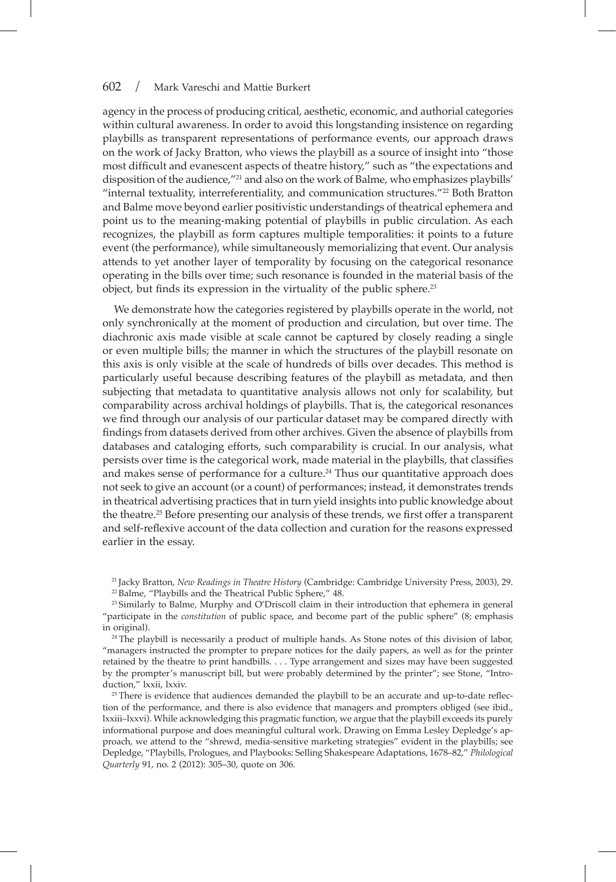agency in the process of producing critical, aesthetic, economic, and authorial categories within cultural awareness. In order to avoid this longstanding insistence on regarding playbills as transparent representations of performance events, our approach draws on the work of Jacky Bratton, who views the playbill as a source of insight into "those most diffcult and evanescent aspects of theatre history," such as "the expectations and disposition of the audience,"<sup>21</sup> and also on the work of Balme, who emphasizes playbills' "internal textuality, interreferentiality, and communication structures."22 Both Bratton and Balme move beyond earlier positivistic understandings of theatrical ephemera and point us to the meaning-making potential of playbills in public circulation. As each recognizes, the playbill as form captures multiple temporalities: it points to a future event (the performance), while simultaneously memorializing that event. Our analysis attends to yet another layer of temporality by focusing on the categorical resonance operating in the bills over time; such resonance is founded in the material basis of the object, but finds its expression in the virtuality of the public sphere.<sup>23</sup>

We demonstrate how the categories registered by playbills operate in the world, not only synchronically at the moment of production and circulation, but over time. The diachronic axis made visible at scale cannot be captured by closely reading a single or even multiple bills; the manner in which the structures of the playbill resonate on this axis is only visible at the scale of hundreds of bills over decades. This method is particularly useful because describing features of the playbill as metadata, and then subjecting that metadata to quantitative analysis allows not only for scalability, but comparability across archival holdings of playbills. That is, the categorical resonances we fnd through our analysis of our particular dataset may be compared directly with fndings from datasets derived from other archives. Given the absence of playbills from databases and cataloging efforts, such comparability is crucial. In our analysis, what persists over time is the categorical work, made material in the playbills, that classifes and makes sense of performance for a culture.<sup>24</sup> Thus our quantitative approach does not seek to give an account (or a count) of performances; instead, it demonstrates trends in theatrical advertising practices that in turn yield insights into public knowledge about the theatre.<sup>25</sup> Before presenting our analysis of these trends, we frst offer a transparent and self-refexive account of the data collection and curation for the reasons expressed earlier in the essay.

<sup>21</sup> Jacky Bratton, *New Readings in Theatre History* (Cambridge: Cambridge University Press, 2003), 29. <sup>22</sup> Balme, "Playbills and the Theatrical Public Sphere," 48.

<sup>23</sup> Similarly to Balme, Murphy and O'Driscoll claim in their introduction that ephemera in general "participate in the *constitution* of public space, and become part of the public sphere" (8; emphasis in original).

<sup>24</sup> The playbill is necessarily a product of multiple hands. As Stone notes of this division of labor, "managers instructed the prompter to prepare notices for the daily papers, as well as for the printer retained by the theatre to print handbills. . . . Type arrangement and sizes may have been suggested by the prompter's manuscript bill, but were probably determined by the printer"; see Stone, "Introduction," lxxii, lxxiv.

<sup>25</sup> There is evidence that audiences demanded the playbill to be an accurate and up-to-date reflection of the performance, and there is also evidence that managers and prompters obliged (see ibid., lxxiii–lxxvi). While acknowledging this pragmatic function, we argue that the playbill exceeds its purely informational purpose and does meaningful cultural work. Drawing on Emma Lesley Depledge's approach, we attend to the "shrewd, media-sensitive marketing strategies" evident in the playbills; see Depledge, "Playbills, Prologues, and Playbooks: Selling Shakespeare Adaptations, 1678–82," *Philological Quarterly* 91, no. 2 (2012): 305–30, quote on 306.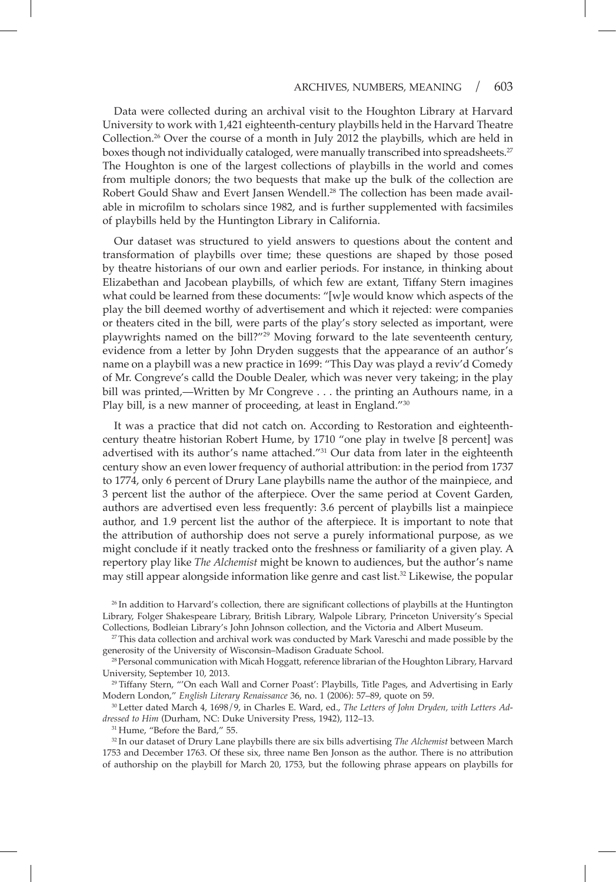Data were collected during an archival visit to the Houghton Library at Harvard University to work with 1,421 eighteenth-century playbills held in the Harvard Theatre Collection.<sup>26</sup> Over the course of a month in July 2012 the playbills, which are held in boxes though not individually cataloged, were manually transcribed into spreadsheets.<sup>27</sup> The Houghton is one of the largest collections of playbills in the world and comes from multiple donors; the two bequests that make up the bulk of the collection are Robert Gould Shaw and Evert Jansen Wendell.<sup>28</sup> The collection has been made available in microflm to scholars since 1982, and is further supplemented with facsimiles of playbills held by the Huntington Library in California.

Our dataset was structured to yield answers to questions about the content and transformation of playbills over time; these questions are shaped by those posed by theatre historians of our own and earlier periods. For instance, in thinking about Elizabethan and Jacobean playbills, of which few are extant, Tiffany Stern imagines what could be learned from these documents: "[w]e would know which aspects of the play the bill deemed worthy of advertisement and which it rejected: were companies or theaters cited in the bill, were parts of the play's story selected as important, were playwrights named on the bill?"<sup>29</sup> Moving forward to the late seventeenth century, evidence from a letter by John Dryden suggests that the appearance of an author's name on a playbill was a new practice in 1699: "This Day was playd a reviv'd Comedy of Mr. Congreve's calld the Double Dealer, which was never very takeing; in the play bill was printed,—Written by Mr Congreve . . . the printing an Authours name, in a Play bill, is a new manner of proceeding, at least in England."<sup>30</sup>

It was a practice that did not catch on. According to Restoration and eighteenthcentury theatre historian Robert Hume, by 1710 "one play in twelve [8 percent] was advertised with its author's name attached."<sup>31</sup> Our data from later in the eighteenth century show an even lower frequency of authorial attribution: in the period from 1737 to 1774, only 6 percent of Drury Lane playbills name the author of the mainpiece, and 3 percent list the author of the afterpiece. Over the same period at Covent Garden, authors are advertised even less frequently: 3.6 percent of playbills list a mainpiece author, and 1.9 percent list the author of the afterpiece. It is important to note that the attribution of authorship does not serve a purely informational purpose, as we might conclude if it neatly tracked onto the freshness or familiarity of a given play. A repertory play like *The Alchemist* might be known to audiences, but the author's name may still appear alongside information like genre and cast list.<sup>32</sup> Likewise, the popular

<sup>26</sup> In addition to Harvard's collection, there are signifcant collections of playbills at the Huntington Library, Folger Shakespeare Library, British Library, Walpole Library, Princeton University's Special Collections, Bodleian Library's John Johnson collection, and the Victoria and Albert Museum.

 $2<sup>27</sup>$ This data collection and archival work was conducted by Mark Vareschi and made possible by the generosity of the University of Wisconsin–Madison Graduate School.

<sup>28</sup> Personal communication with Micah Hoggatt, reference librarian of the Houghton Library, Harvard University, September 10, 2013.

<sup>29</sup> Tiffany Stern, "'On each Wall and Corner Poast': Playbills, Title Pages, and Advertising in Early Modern London," *English Literary Renaissance* 36, no. 1 (2006): 57–89, quote on 59.

<sup>30</sup> Letter dated March 4, 1698/9, in Charles E. Ward, ed., *The Letters of John Dryden, with Letters Addressed to Him* (Durham, NC: Duke University Press, 1942), 112–13.

<sup>31</sup> Hume, "Before the Bard," 55.

<sup>32</sup> In our dataset of Drury Lane playbills there are six bills advertising *The Alchemist* between March 1753 and December 1763. Of these six, three name Ben Jonson as the author. There is no attribution of authorship on the playbill for March 20, 1753, but the following phrase appears on playbills for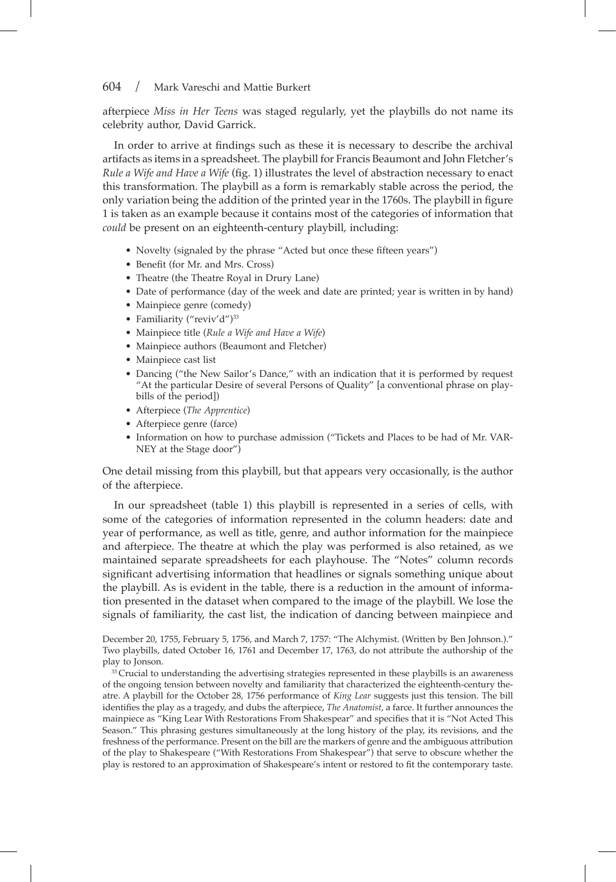afterpiece *Miss in Her Teens* was staged regularly, yet the playbills do not name its celebrity author, David Garrick.

In order to arrive at fndings such as these it is necessary to describe the archival artifacts as items in a spreadsheet. The playbill for Francis Beaumont and John Fletcher's *Rule a Wife and Have a Wife* (fg. 1) illustrates the level of abstraction necessary to enact this transformation. The playbill as a form is remarkably stable across the period, the only variation being the addition of the printed year in the 1760s. The playbill in fgure 1 is taken as an example because it contains most of the categories of information that *could* be present on an eighteenth-century playbill, including:

- Novelty (signaled by the phrase "Acted but once these fifteen years")
- Benefit (for Mr. and Mrs. Cross)
- Theatre (the Theatre Royal in Drury Lane)
- Date of performance (day of the week and date are printed; year is written in by hand)
- Mainpiece genre (comedy)
- Familiarity ("reviv'd")<sup>33</sup>
- Mainpiece title (*Rule a Wife and Have a Wife*)
- Mainpiece authors (Beaumont and Fletcher)
- Mainpiece cast list
- Dancing ("the New Sailor's Dance," with an indication that it is performed by request "At the particular Desire of several Persons of Quality" [a conventional phrase on playbills of the period])
- Afterpiece (*The Apprentice*)
- Afterpiece genre (farce)
- Information on how to purchase admission ("Tickets and Places to be had of Mr. VAR-NEY at the Stage door")

One detail missing from this playbill, but that appears very occasionally, is the author of the afterpiece.

In our spreadsheet (table 1) this playbill is represented in a series of cells, with some of the categories of information represented in the column headers: date and year of performance, as well as title, genre, and author information for the mainpiece and afterpiece. The theatre at which the play was performed is also retained, as we maintained separate spreadsheets for each playhouse. The "Notes" column records signifcant advertising information that headlines or signals something unique about the playbill. As is evident in the table, there is a reduction in the amount of information presented in the dataset when compared to the image of the playbill. We lose the signals of familiarity, the cast list, the indication of dancing between mainpiece and

December 20, 1755, February 5, 1756, and March 7, 1757: "The Alchymist. (Written by Ben Johnson.)." Two playbills, dated October 16, 1761 and December 17, 1763, do not attribute the authorship of the play to Jonson.

<sup>33</sup> Crucial to understanding the advertising strategies represented in these playbills is an awareness of the ongoing tension between novelty and familiarity that characterized the eighteenth-century theatre. A playbill for the October 28, 1756 performance of *King Lear* suggests just this tension. The bill identifes the play as a tragedy, and dubs the afterpiece, *The Anatomist*, a farce. It further announces the mainpiece as "King Lear With Restorations From Shakespear" and specifes that it is "Not Acted This Season." This phrasing gestures simultaneously at the long history of the play, its revisions, and the freshness of the performance. Present on the bill are the markers of genre and the ambiguous attribution of the play to Shakespeare ("With Restorations From Shakespear") that serve to obscure whether the play is restored to an approximation of Shakespeare's intent or restored to fit the contemporary taste.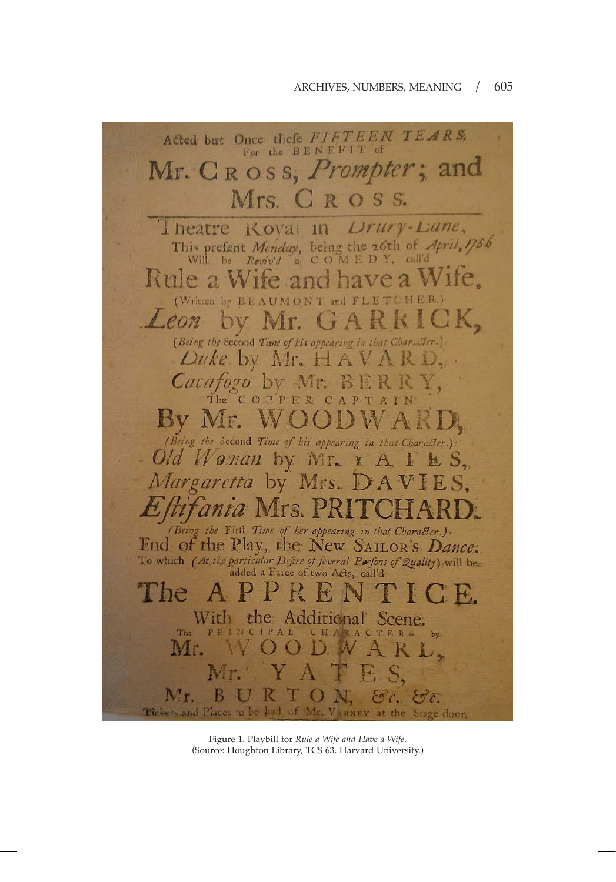

Figure 1. Playbill for *Rule a Wife and Have a Wife*. (Source: Houghton Library, TCS 63, Harvard University.)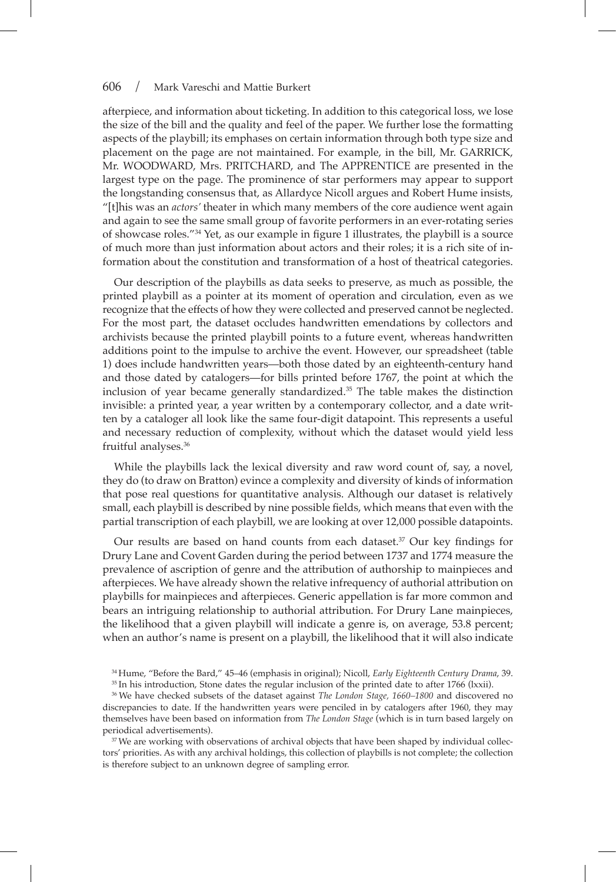afterpiece, and information about ticketing. In addition to this categorical loss, we lose the size of the bill and the quality and feel of the paper. We further lose the formatting aspects of the playbill; its emphases on certain information through both type size and placement on the page are not maintained. For example, in the bill, Mr. GARRICK, Mr. WOODWARD, Mrs. PRITCHARD, and The APPRENTICE are presented in the largest type on the page. The prominence of star performers may appear to support the longstanding consensus that, as Allardyce Nicoll argues and Robert Hume insists, "[t]his was an *actors'* theater in which many members of the core audience went again and again to see the same small group of favorite performers in an ever-rotating series of showcase roles."34 Yet, as our example in fgure 1 illustrates, the playbill is a source of much more than just information about actors and their roles; it is a rich site of information about the constitution and transformation of a host of theatrical categories.

Our description of the playbills as data seeks to preserve, as much as possible, the printed playbill as a pointer at its moment of operation and circulation, even as we recognize that the effects of how they were collected and preserved cannot be neglected. For the most part, the dataset occludes handwritten emendations by collectors and archivists because the printed playbill points to a future event, whereas handwritten additions point to the impulse to archive the event. However, our spreadsheet (table 1) does include handwritten years—both those dated by an eighteenth-century hand and those dated by catalogers—for bills printed before 1767, the point at which the inclusion of year became generally standardized.<sup>35</sup> The table makes the distinction invisible: a printed year, a year written by a contemporary collector, and a date written by a cataloger all look like the same four-digit datapoint. This represents a useful and necessary reduction of complexity, without which the dataset would yield less fruitful analyses.<sup>36</sup>

While the playbills lack the lexical diversity and raw word count of, say, a novel, they do (to draw on Bratton) evince a complexity and diversity of kinds of information that pose real questions for quantitative analysis. Although our dataset is relatively small, each playbill is described by nine possible felds, which means that even with the partial transcription of each playbill, we are looking at over 12,000 possible datapoints.

Our results are based on hand counts from each dataset. $37$  Our key findings for Drury Lane and Covent Garden during the period between 1737 and 1774 measure the prevalence of ascription of genre and the attribution of authorship to mainpieces and afterpieces. We have already shown the relative infrequency of authorial attribution on playbills for mainpieces and afterpieces. Generic appellation is far more common and bears an intriguing relationship to authorial attribution. For Drury Lane mainpieces, the likelihood that a given playbill will indicate a genre is, on average, 53.8 percent; when an author's name is present on a playbill, the likelihood that it will also indicate

<sup>34</sup> Hume, "Before the Bard," 45–46 (emphasis in original); Nicoll, *Early Eighteenth Century Drama*, 39.

<sup>36</sup> We have checked subsets of the dataset against *The London Stage, 1660–1800* and discovered no discrepancies to date. If the handwritten years were penciled in by catalogers after 1960, they may themselves have been based on information from *The London Stage* (which is in turn based largely on periodical advertisements).

<sup>37</sup> We are working with observations of archival objects that have been shaped by individual collectors' priorities. As with any archival holdings, this collection of playbills is not complete; the collection is therefore subject to an unknown degree of sampling error.

<sup>&</sup>lt;sup>35</sup> In his introduction, Stone dates the regular inclusion of the printed date to after 1766 (lxxii).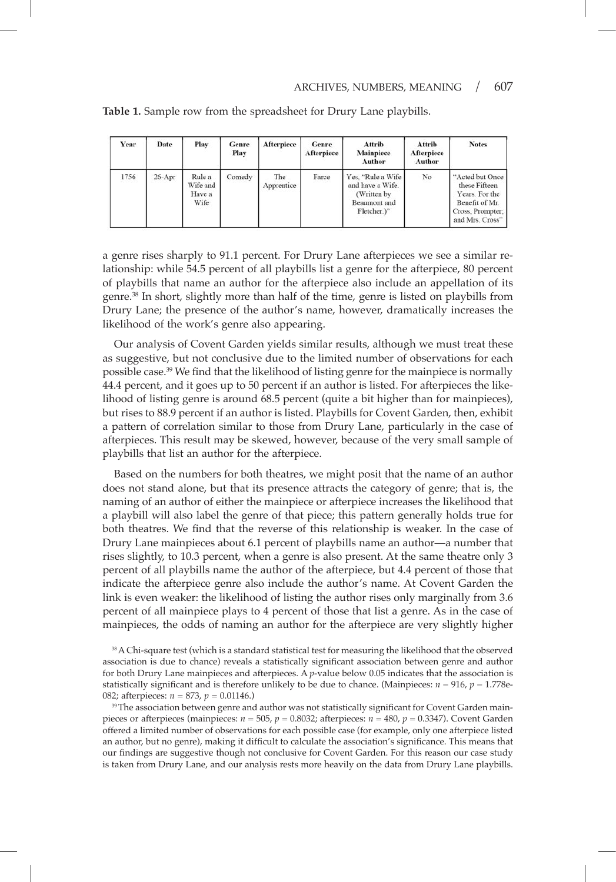| Year | Date       | Play                                 | Genre<br>Play | Afterpiece        | Genre<br>Afterpiece | Attrib<br>Mainpiece<br>Author                                                       | Attrib<br>Afterpiece<br>Author | <b>Notes</b>                                                                                                |
|------|------------|--------------------------------------|---------------|-------------------|---------------------|-------------------------------------------------------------------------------------|--------------------------------|-------------------------------------------------------------------------------------------------------------|
| 1756 | $26 - Apr$ | Rule a<br>Wife and<br>Have a<br>Wife | Comedy        | The<br>Apprentice | Farce               | Yes, "Rule a Wife<br>and have a Wife.<br>(Written by<br>Beaumont and<br>Fletcher.)" | No                             | "Acted but Once<br>these Fifteen<br>Years. For the<br>Benefit of Mr.<br>Cross, Prompter;<br>and Mrs. Cross" |

**Table 1.** Sample row from the spreadsheet for Drury Lane playbills.

a genre rises sharply to 91.1 percent. For Drury Lane afterpieces we see a similar relationship: while 54.5 percent of all playbills list a genre for the afterpiece, 80 percent of playbills that name an author for the afterpiece also include an appellation of its genre.<sup>38</sup> In short, slightly more than half of the time, genre is listed on playbills from Drury Lane; the presence of the author's name, however, dramatically increases the likelihood of the work's genre also appearing.

Our analysis of Covent Garden yields similar results, although we must treat these as suggestive, but not conclusive due to the limited number of observations for each possible case.<sup>39</sup> We find that the likelihood of listing genre for the mainpiece is normally 44.4 percent, and it goes up to 50 percent if an author is listed. For afterpieces the likelihood of listing genre is around 68.5 percent (quite a bit higher than for mainpieces), but rises to 88.9 percent if an author is listed. Playbills for Covent Garden, then, exhibit a pattern of correlation similar to those from Drury Lane, particularly in the case of afterpieces. This result may be skewed, however, because of the very small sample of playbills that list an author for the afterpiece.

Based on the numbers for both theatres, we might posit that the name of an author does not stand alone, but that its presence attracts the category of genre; that is, the naming of an author of either the mainpiece or afterpiece increases the likelihood that a playbill will also label the genre of that piece; this pattern generally holds true for both theatres. We fnd that the reverse of this relationship is weaker. In the case of Drury Lane mainpieces about 6.1 percent of playbills name an author—a number that rises slightly, to 10.3 percent, when a genre is also present. At the same theatre only 3 percent of all playbills name the author of the afterpiece, but 4.4 percent of those that indicate the afterpiece genre also include the author's name. At Covent Garden the link is even weaker: the likelihood of listing the author rises only marginally from 3.6 percent of all mainpiece plays to 4 percent of those that list a genre. As in the case of mainpieces, the odds of naming an author for the afterpiece are very slightly higher

<sup>38</sup>A Chi-square test (which is a standard statistical test for measuring the likelihood that the observed association is due to chance) reveals a statistically signifcant association between genre and author for both Drury Lane mainpieces and afterpieces. A *p*-value below 0.05 indicates that the association is statistically significant and is therefore unlikely to be due to chance. (Mainpieces:  $n = 916$ ,  $p = 1.778$ e-082; afterpieces: *n* = 873, *p* = 0.01146.)

<sup>39</sup>The association between genre and author was not statistically significant for Covent Garden mainpieces or afterpieces (mainpieces: *n* = 505, *p* = 0.8032; afterpieces: *n* = 480, *p* = 0.3347). Covent Garden offered a limited number of observations for each possible case (for example, only one afterpiece listed an author, but no genre), making it diffcult to calculate the association's signifcance. This means that our fndings are suggestive though not conclusive for Covent Garden. For this reason our case study is taken from Drury Lane, and our analysis rests more heavily on the data from Drury Lane playbills.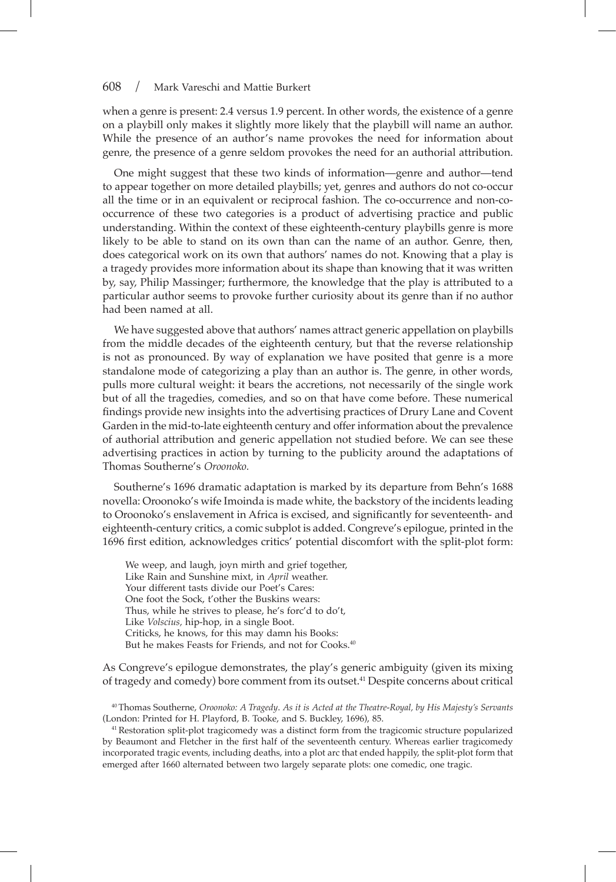when a genre is present: 2.4 versus 1.9 percent. In other words, the existence of a genre on a playbill only makes it slightly more likely that the playbill will name an author. While the presence of an author's name provokes the need for information about genre, the presence of a genre seldom provokes the need for an authorial attribution.

One might suggest that these two kinds of information—genre and author—tend to appear together on more detailed playbills; yet, genres and authors do not co-occur all the time or in an equivalent or reciprocal fashion. The co-occurrence and non-cooccurrence of these two categories is a product of advertising practice and public understanding. Within the context of these eighteenth-century playbills genre is more likely to be able to stand on its own than can the name of an author. Genre, then, does categorical work on its own that authors' names do not. Knowing that a play is a tragedy provides more information about its shape than knowing that it was written by, say, Philip Massinger; furthermore, the knowledge that the play is attributed to a particular author seems to provoke further curiosity about its genre than if no author had been named at all.

We have suggested above that authors' names attract generic appellation on playbills from the middle decades of the eighteenth century, but that the reverse relationship is not as pronounced. By way of explanation we have posited that genre is a more standalone mode of categorizing a play than an author is. The genre, in other words, pulls more cultural weight: it bears the accretions, not necessarily of the single work but of all the tragedies, comedies, and so on that have come before. These numerical fndings provide new insights into the advertising practices of Drury Lane and Covent Garden in the mid-to-late eighteenth century and offer information about the prevalence of authorial attribution and generic appellation not studied before. We can see these advertising practices in action by turning to the publicity around the adaptations of Thomas Southerne's *Oroonoko.*

Southerne's 1696 dramatic adaptation is marked by its departure from Behn's 1688 novella: Oroonoko's wife Imoinda is made white, the backstory of the incidents leading to Oroonoko's enslavement in Africa is excised, and signifcantly for seventeenth- and eighteenth-century critics, a comic subplot is added. Congreve's epilogue, printed in the 1696 frst edition, acknowledges critics' potential discomfort with the split-plot form:

We weep, and laugh, joyn mirth and grief together, Like Rain and Sunshine mixt, in *April* weather. Your different tasts divide our Poet's Cares: One foot the Sock, t'other the Buskins wears: Thus, while he strives to please, he's forc'd to do't, Like *Volscius,* hip-hop, in a single Boot. Criticks, he knows, for this may damn his Books: But he makes Feasts for Friends, and not for Cooks.40

As Congreve's epilogue demonstrates, the play's generic ambiguity (given its mixing of tragedy and comedy) bore comment from its outset.<sup>41</sup> Despite concerns about critical

<sup>40</sup> Thomas Southerne, *Oroonoko: A Tragedy*. *As it is Acted at the Theatre-Royal, by His Majesty's Servants* (London: Printed for H. Playford, B. Tooke, and S. Buckley, 1696), 85.

<sup>41</sup> Restoration split-plot tragicomedy was a distinct form from the tragicomic structure popularized by Beaumont and Fletcher in the frst half of the seventeenth century. Whereas earlier tragicomedy incorporated tragic events, including deaths, into a plot arc that ended happily, the split-plot form that emerged after 1660 alternated between two largely separate plots: one comedic, one tragic.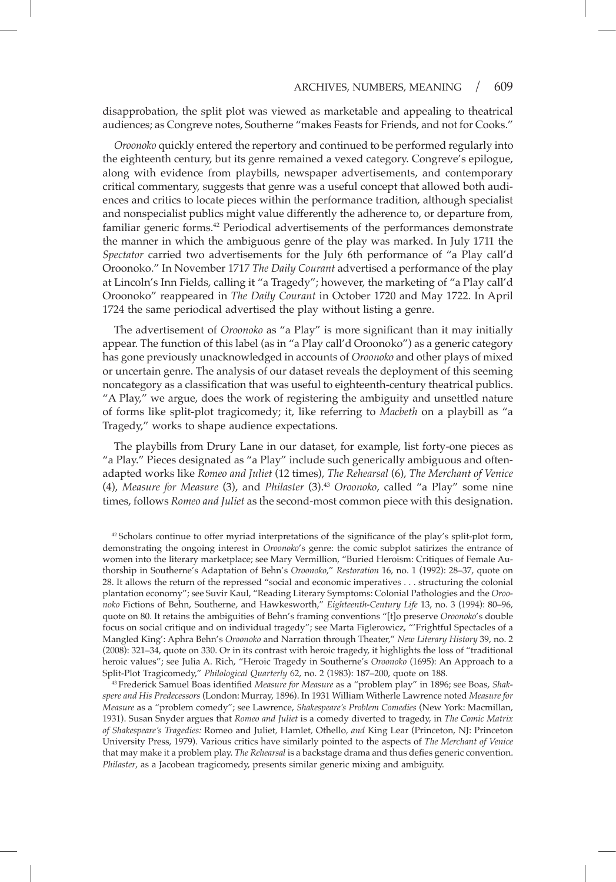disapprobation, the split plot was viewed as marketable and appealing to theatrical audiences; as Congreve notes, Southerne "makes Feasts for Friends, and not for Cooks."

*Oroonoko* quickly entered the repertory and continued to be performed regularly into the eighteenth century, but its genre remained a vexed category. Congreve's epilogue, along with evidence from playbills, newspaper advertisements, and contemporary critical commentary, suggests that genre was a useful concept that allowed both audiences and critics to locate pieces within the performance tradition, although specialist and nonspecialist publics might value differently the adherence to, or departure from, familiar generic forms.42 Periodical advertisements of the performances demonstrate the manner in which the ambiguous genre of the play was marked. In July 1711 the *Spectator* carried two advertisements for the July 6th performance of "a Play call'd Oroonoko." In November 1717 *The Daily Courant* advertised a performance of the play at Lincoln's Inn Fields, calling it "a Tragedy"; however, the marketing of "a Play call'd Oroonoko" reappeared in *The Daily Courant* in October 1720 and May 1722. In April 1724 the same periodical advertised the play without listing a genre.

The advertisement of *Oroonoko* as "a Play" is more signifcant than it may initially appear. The function of this label (as in "a Play call'd Oroonoko") as a generic category has gone previously unacknowledged in accounts of *Oroonoko* and other plays of mixed or uncertain genre. The analysis of our dataset reveals the deployment of this seeming noncategory as a classifcation that was useful to eighteenth-century theatrical publics. "A Play," we argue, does the work of registering the ambiguity and unsettled nature of forms like split-plot tragicomedy; it, like referring to *Macbeth* on a playbill as "a Tragedy," works to shape audience expectations.

The playbills from Drury Lane in our dataset, for example, list forty-one pieces as "a Play." Pieces designated as "a Play" include such generically ambiguous and oftenadapted works like *Romeo and Juliet* (12 times), *The Rehearsal* (6), *The Merchant of Venice*  (4), *Measure for Measure* (3), and *Philaster* (3).43 *Oroonoko*, called "a Play" some nine times, follows *Romeo and Juliet* as the second-most common piece with this designation.

 $42$  Scholars continue to offer myriad interpretations of the significance of the play's split-plot form, demonstrating the ongoing interest in *Oroonoko*'s genre: the comic subplot satirizes the entrance of women into the literary marketplace; see Mary Vermillion, "Buried Heroism: Critiques of Female Authorship in Southerne's Adaptation of Behn's *Oroonoko*," *Restoration* 16, no. 1 (1992): 28–37, quote on 28. It allows the return of the repressed "social and economic imperatives . . . structuring the colonial plantation economy"; see Suvir Kaul, "Reading Literary Symptoms: Colonial Pathologies and the *Oroonoko* Fictions of Behn, Southerne, and Hawkesworth," *Eighteenth-Century Life* 13, no. 3 (1994): 80–96, quote on 80. It retains the ambiguities of Behn's framing conventions "[t]o preserve *Oroonoko*'s double focus on social critique and on individual tragedy"; see Marta Figlerowicz, "'Frightful Spectacles of a Mangled King': Aphra Behn's *Oroonoko* and Narration through Theater," *New Literary History* 39, no. 2 (2008): 321–34, quote on 330. Or in its contrast with heroic tragedy, it highlights the loss of "traditional heroic values"; see Julia A. Rich, "Heroic Tragedy in Southerne's *Oroonoko* (1695): An Approach to a Split-Plot Tragicomedy," *Philological Quarterly* 62, no. 2 (1983): 187–200, quote on 188.

<sup>43</sup> Frederick Samuel Boas identifed *Measure for Measure* as a "problem play" in 1896; see Boas, *Shakspere and His Predecessors* (London: Murray, 1896). In 1931 William Witherle Lawrence noted *Measure for Measure* as a "problem comedy"; see Lawrence, *Shakespeare's Problem Comedies* (New York: Macmillan, 1931). Susan Snyder argues that *Romeo and Juliet* is a comedy diverted to tragedy, in *The Comic Matrix of Shakespeare's Tragedies:* Romeo and Juliet*,* Hamlet*,* Othello*, and* King Lear (Princeton, NJ: Princeton University Press, 1979). Various critics have similarly pointed to the aspects of *The Merchant of Venice*  that may make it a problem play. *The Rehearsal* is a backstage drama and thus defes generic convention. *Philaster*, as a Jacobean tragicomedy, presents similar generic mixing and ambiguity.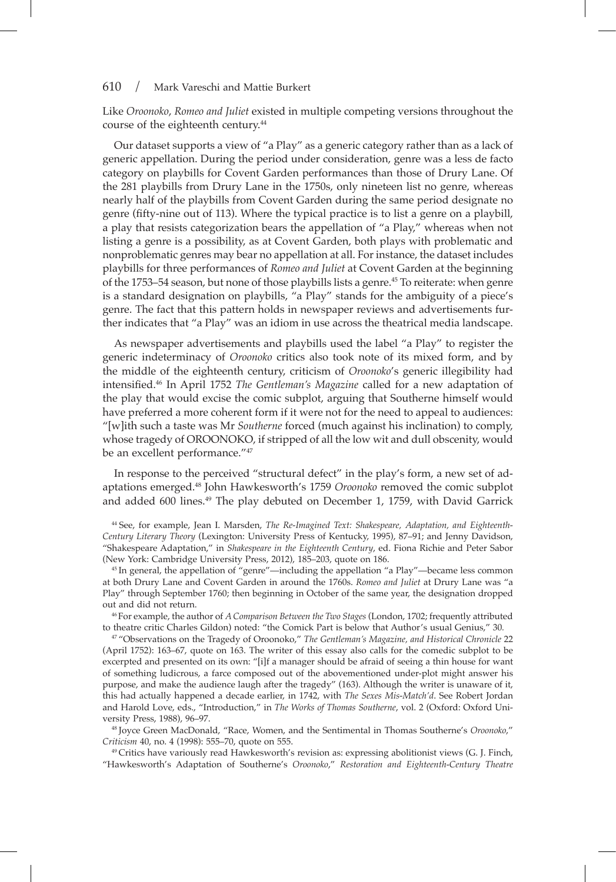Like *Oroonoko*, *Romeo and Juliet* existed in multiple competing versions throughout the course of the eighteenth century.<sup>44</sup>

Our dataset supports a view of "a Play" as a generic category rather than as a lack of generic appellation. During the period under consideration, genre was a less de facto category on playbills for Covent Garden performances than those of Drury Lane. Of the 281 playbills from Drury Lane in the 1750s, only nineteen list no genre, whereas nearly half of the playbills from Covent Garden during the same period designate no genre (ffty-nine out of 113). Where the typical practice is to list a genre on a playbill, a play that resists categorization bears the appellation of "a Play," whereas when not listing a genre is a possibility, as at Covent Garden, both plays with problematic and nonproblematic genres may bear no appellation at all. For instance, the dataset includes playbills for three performances of *Romeo and Juliet* at Covent Garden at the beginning of the 1753–54 season, but none of those playbills lists a genre.<sup>45</sup> To reiterate: when genre is a standard designation on playbills, "a Play" stands for the ambiguity of a piece's genre. The fact that this pattern holds in newspaper reviews and advertisements further indicates that "a Play" was an idiom in use across the theatrical media landscape.

As newspaper advertisements and playbills used the label "a Play" to register the generic indeterminacy of *Oroonoko* critics also took note of its mixed form, and by the middle of the eighteenth century, criticism of *Oroonoko*'s generic illegibility had intensifed.46 In April 1752 *The Gentleman's Magazine* called for a new adaptation of the play that would excise the comic subplot, arguing that Southerne himself would have preferred a more coherent form if it were not for the need to appeal to audiences: "[w]ith such a taste was Mr *Southerne* forced (much against his inclination) to comply, whose tragedy of OROONOKO, if stripped of all the low wit and dull obscenity, would be an excellent performance."47

In response to the perceived "structural defect" in the play's form, a new set of adaptations emerged.48 John Hawkesworth's 1759 *Oroonoko* removed the comic subplot and added  $600$  lines.<sup>49</sup> The play debuted on December 1, 1759, with David Garrick

<sup>44</sup> See, for example, Jean I. Marsden, *The Re-Imagined Text: Shakespeare, Adaptation, and Eighteenth-Century Literary Theory* (Lexington: University Press of Kentucky, 1995), 87–91; and Jenny Davidson, "Shakespeare Adaptation," in *Shakespeare in the Eighteenth Century*, ed. Fiona Richie and Peter Sabor (New York: Cambridge University Press, 2012), 185–203, quote on 186.

<sup>45</sup> In general, the appellation of "genre"—including the appellation "a Play"—became less common at both Drury Lane and Covent Garden in around the 1760s. *Romeo and Juliet* at Drury Lane was "a Play" through September 1760; then beginning in October of the same year, the designation dropped out and did not return.

46For example, the author of *A Comparison Between the Two Stages* (London, 1702; frequently attributed to theatre critic Charles Gildon) noted: "the Comick Part is below that Author's usual Genius," 30*.*

<sup>47</sup> "Observations on the Tragedy of Oroonoko," *The Gentleman's Magazine, and Historical Chronicle* 22 (April 1752): 163–67, quote on 163. The writer of this essay also calls for the comedic subplot to be excerpted and presented on its own: "[i]f a manager should be afraid of seeing a thin house for want of something ludicrous, a farce composed out of the abovementioned under-plot might answer his purpose, and make the audience laugh after the tragedy" (163). Although the writer is unaware of it, this had actually happened a decade earlier, in 1742, with *The Sexes Mis-Match'd*. See Robert Jordan and Harold Love, eds., "Introduction," in *The Works of Thomas Southerne*, vol. 2 (Oxford: Oxford University Press, 1988), 96–97.

<sup>48</sup> Joyce Green MacDonald, "Race, Women, and the Sentimental in Thomas Southerne's *Oroonoko*," *Criticism* 40, no. 4 (1998): 555–70, quote on 555.

<sup>49</sup> Critics have variously read Hawkesworth's revision as: expressing abolitionist views (G. J. Finch, "Hawkesworth's Adaptation of Southerne's *Oroonoko*," *Restoration and Eighteenth-Century Theatre*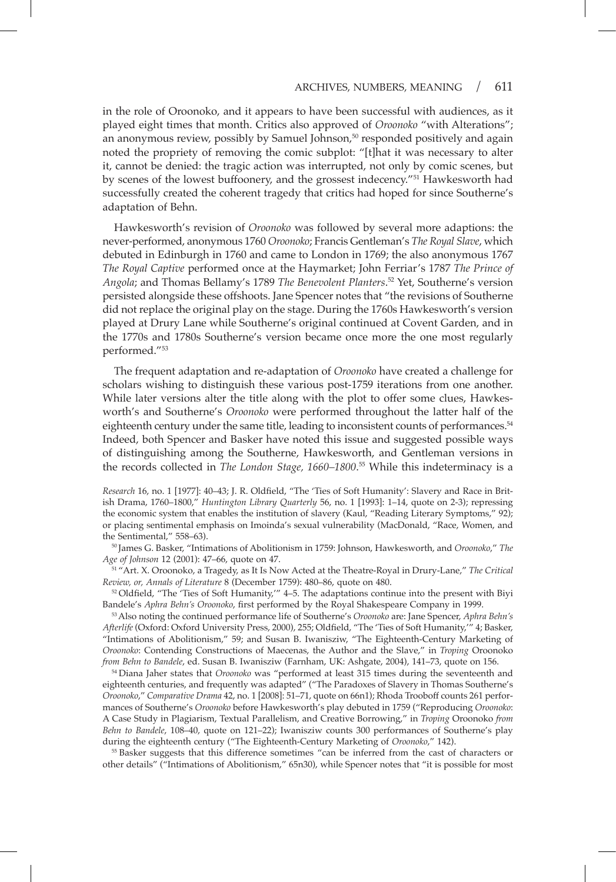in the role of Oroonoko, and it appears to have been successful with audiences, as it played eight times that month. Critics also approved of *Oroonoko* "with Alterations"; an anonymous review, possibly by Samuel Johnson, $50$  responded positively and again noted the propriety of removing the comic subplot: "[t]hat it was necessary to alter it, cannot be denied: the tragic action was interrupted, not only by comic scenes, but by scenes of the lowest buffoonery, and the grossest indecency."51 Hawkesworth had successfully created the coherent tragedy that critics had hoped for since Southerne's adaptation of Behn.

Hawkesworth's revision of *Oroonoko* was followed by several more adaptions: the never-performed, anonymous 1760 *Oroonoko*; Francis Gentleman's *The Royal Slave*, which debuted in Edinburgh in 1760 and came to London in 1769; the also anonymous 1767 *The Royal Captive* performed once at the Haymarket; John Ferriar's 1787 *The Prince of Angola*; and Thomas Bellamy's 1789 *The Benevolent Planters*. <sup>52</sup> Yet, Southerne's version persisted alongside these offshoots. Jane Spencer notes that "the revisions of Southerne did not replace the original play on the stage. During the 1760s Hawkesworth's version played at Drury Lane while Southerne's original continued at Covent Garden, and in the 1770s and 1780s Southerne's version became once more the one most regularly performed."<sup>53</sup>

The frequent adaptation and re-adaptation of *Oroonoko* have created a challenge for scholars wishing to distinguish these various post-1759 iterations from one another. While later versions alter the title along with the plot to offer some clues, Hawkesworth's and Southerne's *Oroonoko* were performed throughout the latter half of the eighteenth century under the same title, leading to inconsistent counts of performances.<sup>54</sup> Indeed, both Spencer and Basker have noted this issue and suggested possible ways of distinguishing among the Southerne, Hawkesworth, and Gentleman versions in the records collected in *The London Stage, 1660–1800*. <sup>55</sup> While this indeterminacy is a

*Research* 16, no. 1 [1977]: 40–43; J. R. Oldfeld, "The 'Ties of Soft Humanity': Slavery and Race in British Drama, 1760–1800," *Huntington Library Quarterly* 56, no. 1 [1993]: 1–14, quote on 2-3); repressing the economic system that enables the institution of slavery (Kaul, "Reading Literary Symptoms," 92); or placing sentimental emphasis on Imoinda's sexual vulnerability (MacDonald, "Race, Women, and the Sentimental," 558–63).

<sup>50</sup> James G. Basker, "Intimations of Abolitionism in 1759: Johnson, Hawkesworth, and *Oroonoko*," *The Age of Johnson* 12 (2001): 47–66, quote on 47.

<sup>51</sup> "Art. X. Oroonoko, a Tragedy, as It Is Now Acted at the Theatre-Royal in Drury-Lane," *The Critical Review, or, Annals of Literature* 8 (December 1759): 480–86, quote on 480.

 $52$  Oldfield, "The 'Ties of Soft Humanity,""  $4-5$ . The adaptations continue into the present with Biyi Bandele's *Aphra Behn's Oroonoko*, frst performed by the Royal Shakespeare Company in 1999.

<sup>53</sup>Also noting the continued performance life of Southerne's *Oroonoko* are: Jane Spencer, *Aphra Behn's Afterlife* (Oxford: Oxford University Press, 2000), 255; Oldfeld, "The 'Ties of Soft Humanity,'" 4; Basker, "Intimations of Abolitionism," 59; and Susan B. Iwanisziw, "The Eighteenth-Century Marketing of *Oroonoko*: Contending Constructions of Maecenas, the Author and the Slave," in *Troping* Oroonoko *from Behn to Bandele*, ed. Susan B. Iwanisziw (Farnham, UK: Ashgate, 2004), 141–73, quote on 156.

<sup>54</sup> Diana Jaher states that *Oroonoko* was "performed at least 315 times during the seventeenth and eighteenth centuries, and frequently was adapted" ("The Paradoxes of Slavery in Thomas Southerne's *Oroonoko*," *Comparative Drama* 42, no. 1 [2008]: 51–71, quote on 66n1); Rhoda Trooboff counts 261 performances of Southerne's *Oroonoko* before Hawkesworth's play debuted in 1759 ("Reproducing *Oroonoko*: A Case Study in Plagiarism, Textual Parallelism, and Creative Borrowing," in *Troping* Oroonoko *from Behn to Bandele*, 108–40, quote on 121–22); Iwanisziw counts 300 performances of Southerne's play during the eighteenth century ("The Eighteenth-Century Marketing of *Oroonoko*," 142).

<sup>55</sup> Basker suggests that this difference sometimes "can be inferred from the cast of characters or other details" ("Intimations of Abolitionism," 65n30), while Spencer notes that "it is possible for most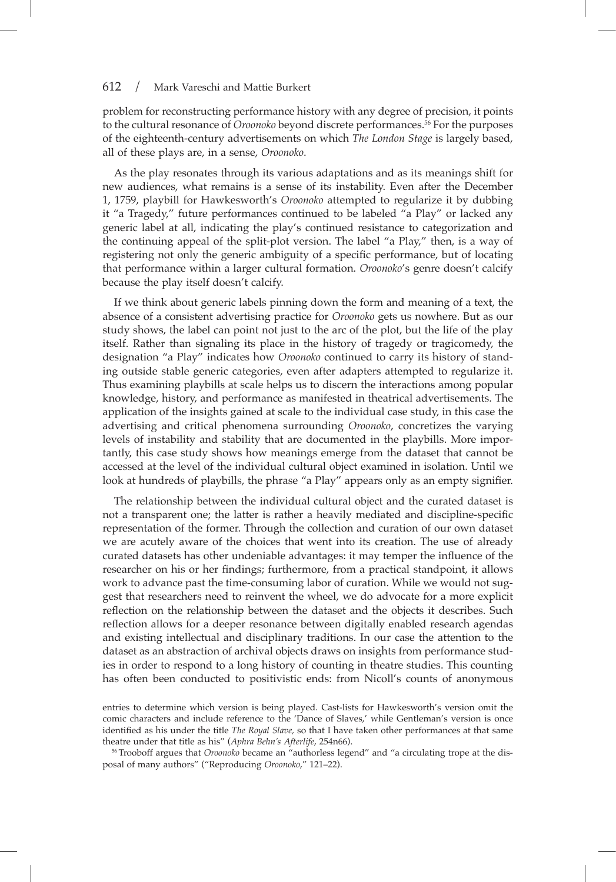problem for reconstructing performance history with any degree of precision, it points to the cultural resonance of *Oroonoko* beyond discrete performances.56 For the purposes of the eighteenth-century advertisements on which *The London Stage* is largely based, all of these plays are, in a sense, *Oroonoko*.

As the play resonates through its various adaptations and as its meanings shift for new audiences, what remains is a sense of its instability. Even after the December 1, 1759, playbill for Hawkesworth's *Oroonoko* attempted to regularize it by dubbing it "a Tragedy," future performances continued to be labeled "a Play" or lacked any generic label at all, indicating the play's continued resistance to categorization and the continuing appeal of the split-plot version. The label "a Play," then, is a way of registering not only the generic ambiguity of a specifc performance, but of locating that performance within a larger cultural formation. *Oroonoko*'s genre doesn't calcify because the play itself doesn't calcify.

If we think about generic labels pinning down the form and meaning of a text, the absence of a consistent advertising practice for *Oroonoko* gets us nowhere. But as our study shows, the label can point not just to the arc of the plot, but the life of the play itself. Rather than signaling its place in the history of tragedy or tragicomedy, the designation "a Play" indicates how *Oroonoko* continued to carry its history of standing outside stable generic categories, even after adapters attempted to regularize it. Thus examining playbills at scale helps us to discern the interactions among popular knowledge, history, and performance as manifested in theatrical advertisements. The application of the insights gained at scale to the individual case study, in this case the advertising and critical phenomena surrounding *Oroonoko*, concretizes the varying levels of instability and stability that are documented in the playbills. More importantly, this case study shows how meanings emerge from the dataset that cannot be accessed at the level of the individual cultural object examined in isolation. Until we look at hundreds of playbills, the phrase "a Play" appears only as an empty signifer.

The relationship between the individual cultural object and the curated dataset is not a transparent one; the latter is rather a heavily mediated and discipline-specifc representation of the former. Through the collection and curation of our own dataset we are acutely aware of the choices that went into its creation. The use of already curated datasets has other undeniable advantages: it may temper the infuence of the researcher on his or her fndings; furthermore, from a practical standpoint, it allows work to advance past the time-consuming labor of curation. While we would not suggest that researchers need to reinvent the wheel, we do advocate for a more explicit refection on the relationship between the dataset and the objects it describes. Such refection allows for a deeper resonance between digitally enabled research agendas and existing intellectual and disciplinary traditions. In our case the attention to the dataset as an abstraction of archival objects draws on insights from performance studies in order to respond to a long history of counting in theatre studies. This counting has often been conducted to positivistic ends: from Nicoll's counts of anonymous

entries to determine which version is being played. Cast-lists for Hawkesworth's version omit the comic characters and include reference to the 'Dance of Slaves,' while Gentleman's version is once identifed as his under the title *The Royal Slave,* so that I have taken other performances at that same theatre under that title as his" (*Aphra Behn's Afterlife*, 254n66).

<sup>56</sup> Trooboff argues that *Oroonoko* became an "authorless legend" and "a circulating trope at the disposal of many authors" ("Reproducing *Oroonoko*," 121–22).